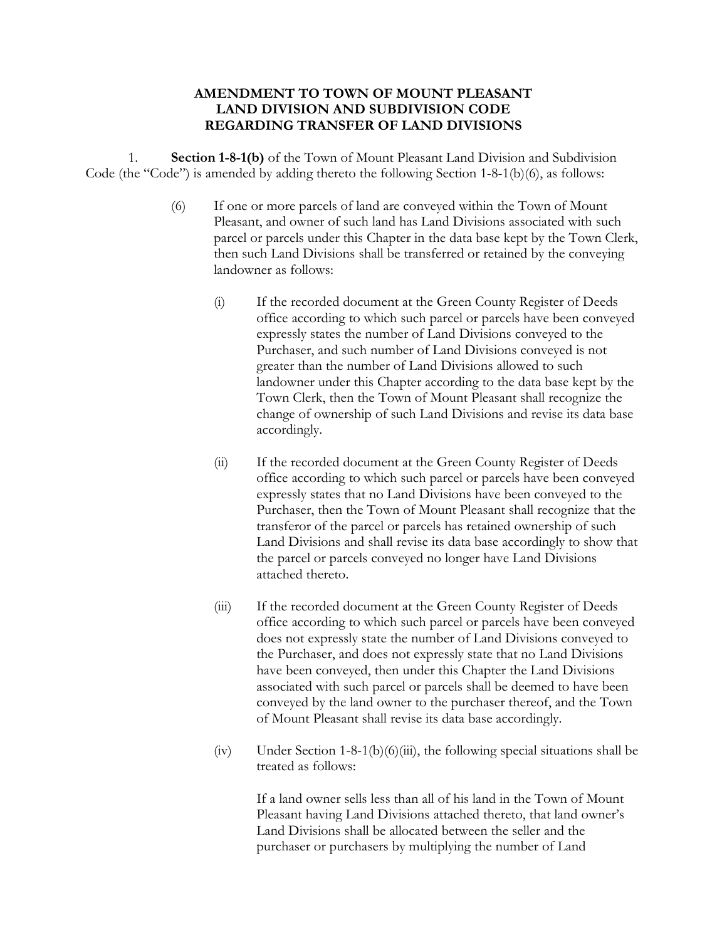## **AMENDMENT TO TOWN OF MOUNT PLEASANT LAND DIVISION AND SUBDIVISION CODE REGARDING TRANSFER OF LAND DIVISIONS**

1. **Section 1-8-1(b)** of the Town of Mount Pleasant Land Division and Subdivision Code (the "Code") is amended by adding thereto the following Section 1-8-1(b)(6), as follows:

- (6) If one or more parcels of land are conveyed within the Town of Mount Pleasant, and owner of such land has Land Divisions associated with such parcel or parcels under this Chapter in the data base kept by the Town Clerk, then such Land Divisions shall be transferred or retained by the conveying landowner as follows:
	- (i) If the recorded document at the Green County Register of Deeds office according to which such parcel or parcels have been conveyed expressly states the number of Land Divisions conveyed to the Purchaser, and such number of Land Divisions conveyed is not greater than the number of Land Divisions allowed to such landowner under this Chapter according to the data base kept by the Town Clerk, then the Town of Mount Pleasant shall recognize the change of ownership of such Land Divisions and revise its data base accordingly.
	- (ii) If the recorded document at the Green County Register of Deeds office according to which such parcel or parcels have been conveyed expressly states that no Land Divisions have been conveyed to the Purchaser, then the Town of Mount Pleasant shall recognize that the transferor of the parcel or parcels has retained ownership of such Land Divisions and shall revise its data base accordingly to show that the parcel or parcels conveyed no longer have Land Divisions attached thereto.
	- (iii) If the recorded document at the Green County Register of Deeds office according to which such parcel or parcels have been conveyed does not expressly state the number of Land Divisions conveyed to the Purchaser, and does not expressly state that no Land Divisions have been conveyed, then under this Chapter the Land Divisions associated with such parcel or parcels shall be deemed to have been conveyed by the land owner to the purchaser thereof, and the Town of Mount Pleasant shall revise its data base accordingly.
	- (iv) Under Section 1-8-1(b)(6)(iii), the following special situations shall be treated as follows:

If a land owner sells less than all of his land in the Town of Mount Pleasant having Land Divisions attached thereto, that land owner's Land Divisions shall be allocated between the seller and the purchaser or purchasers by multiplying the number of Land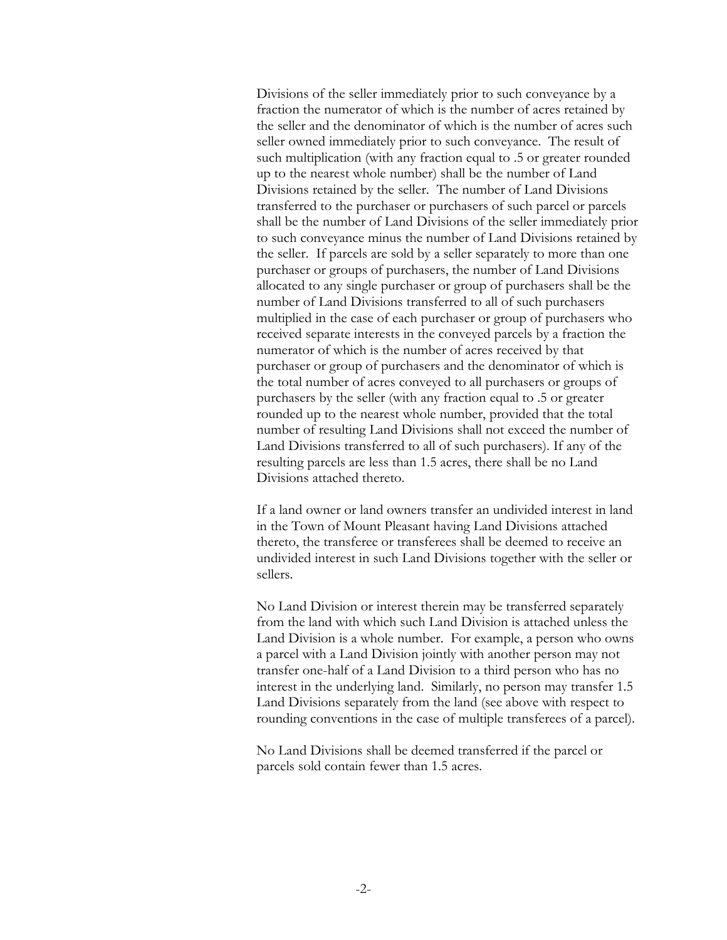Divisions of the seller immediately prior to such conveyance by a fraction the numerator of which is the number of acres retained by the seller and the denominator of which is the number of acres such seller owned immediately prior to such conveyance. The result of such multiplication (with any fraction equal to .5 or greater rounded up to the nearest whole number) shall be the number of Land Divisions retained by the seller. The number of Land Divisions transferred to the purchaser or purchasers of such parcel or parcels shall be the number of Land Divisions of the seller immediately prior to such conveyance minus the number of Land Divisions retained by the seller. If parcels are sold by a seller separately to more than one purchaser or groups of purchasers, the number of Land Divisions allocated to any single purchaser or group of purchasers shall be the number of Land Divisions transferred to all of such purchasers multiplied in the case of each purchaser or group of purchasers who received separate interests in the conveyed parcels by a fraction the numerator of which is the number of acres received by that purchaser or group of purchasers and the denominator of which is the total number of acres conveyed to all purchasers or groups of purchasers by the seller (with any fraction equal to .5 or greater rounded up to the nearest whole number, provided that the total number of resulting Land Divisions shall not exceed the number of Land Divisions transferred to all of such purchasers). If any of the resulting parcels are less than 1.5 acres, there shall be no Land Divisions attached thereto.

If a land owner or land owners transfer an undivided interest in land in the Town of Mount Pleasant having Land Divisions attached thereto, the transferee or transferees shall be deemed to receive an undivided interest in such Land Divisions together with the seller or sellers.

No Land Division or interest therein may be transferred separately from the land with which such Land Division is attached unless the Land Division is a whole number. For example, a person who owns a parcel with a Land Division jointly with another person may not transfer one-half of a Land Division to a third person who has no interest in the underlying land. Similarly, no person may transfer 1.5 Land Divisions separately from the land (see above with respect to rounding conventions in the case of multiple transferees of a parcel).

No Land Divisions shall be deemed transferred if the parcel or parcels sold contain fewer than 1.5 acres.